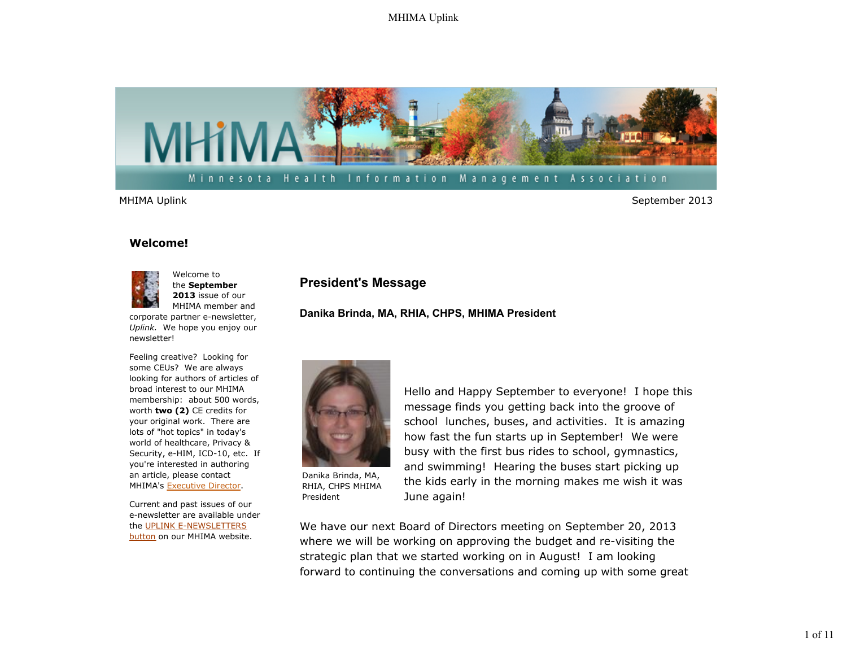

MHIMA Uplink September 2013

#### **Welcome!**



Welcome to the **September 2013** issue of our MHIMA member and

corporate partner e-newsletter, *Uplink.* We hope you enjoy our newsletter!

Feeling creative? Looking for some CEUs? We are always looking for authors of articles of broad interest to our MHIMA membership: about 500 words, worth **two (2)** CE credits for your original work. There are lots of "hot topics" in today's world of healthcare, Privacy & Security, e-HIM, ICD-10, etc. If you're interested in authoring an article, please contact MHIMA's Executive Director.

Current and past issues of our e-newsletter are available under the UPLINK E-NEWSLETTERS button on our MHIMA website.

## **President's Message**

**Danika Brinda, MA, RHIA, CHPS, MHIMA President**



Danika Brinda, MA, RHIA, CHPS MHIMA President

Hello and Happy September to everyone! I hope this message finds you getting back into the groove of school lunches, buses, and activities. It is amazing how fast the fun starts up in September! We were busy with the first bus rides to school, gymnastics, and swimming! Hearing the buses start picking up the kids early in the morning makes me wish it was June again!

We have our next Board of Directors meeting on September 20, 2013 where we will be working on approving the budget and re-visiting the strategic plan that we started working on in August! I am looking forward to continuing the conversations and coming up with some great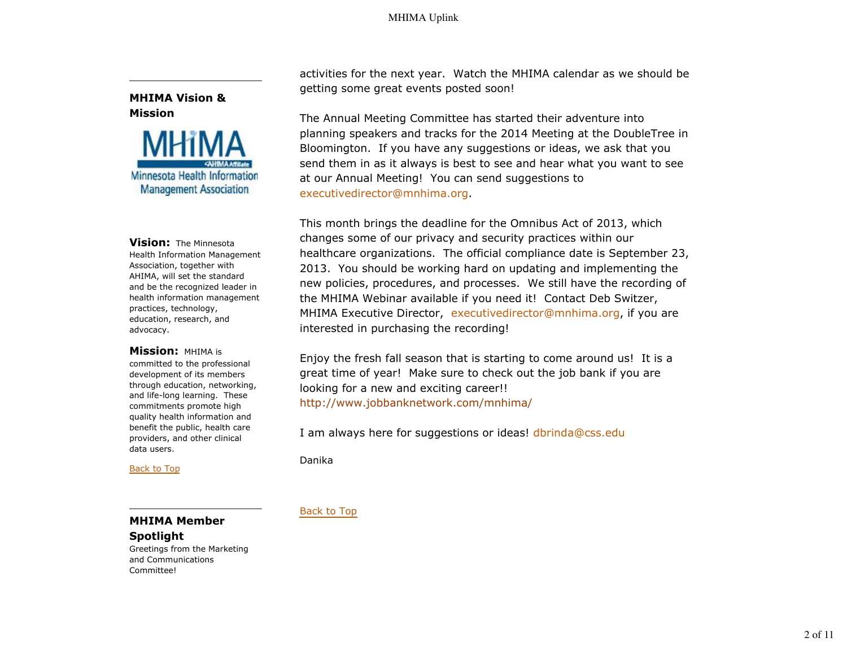



**Vision:** The Minnesota Health Information Management Association, together with AHIMA, will set the standard and be the recognized leader in health information management practices, technology, education, research, and advocacy.

#### **Mission:** MHIMA is

committed to the professional development of its members through education, networking, and life-long learning. These commitments promote high quality health information and benefit the public, health care providers, and other clinical data users.

Back to Top

activities for the next year. Watch the MHIMA calendar as we should be getting some great events posted soon!

The Annual Meeting Committee has started their adventure into planning speakers and tracks for the 2014 Meeting at the DoubleTree in Bloomington. If you have any suggestions or ideas, we ask that you send them in as it always is best to see and hear what you want to see at our Annual Meeting! You can send suggestions to executivedirector@mnhima.org.

This month brings the deadline for the Omnibus Act of 2013, which changes some of our privacy and security practices within our healthcare organizations. The official compliance date is September 23, 2013. You should be working hard on updating and implementing the new policies, procedures, and processes. We still have the recording of the MHIMA Webinar available if you need it! Contact Deb Switzer, MHIMA Executive Director, executivedirector@mnhima.org, if you are interested in purchasing the recording!

Enjoy the fresh fall season that is starting to come around us! It is a great time of year! Make sure to check out the job bank if you are looking for a new and exciting career!! http://www.jobbanknetwork.com/mnhima/

I am always here for suggestions or ideas! dbrinda@css.edu

Danika

**MHIMA Member Spotlight**

Greetings from the Marketing and Communications Committee!

Back to Top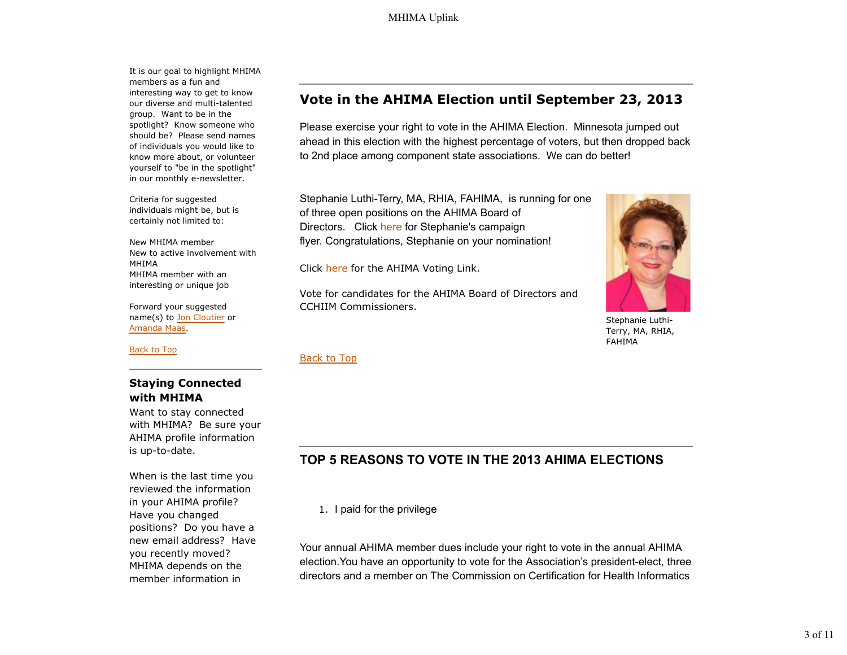It is our goal to highlight MHIMA members as a fun and interesting way to get to know our diverse and multi-talented group. Want to be in the spotlight? Know someone who should be? Please send names of individuals you would like to know more about, or volunteer yourself to "be in the spotlight" in our monthly e-newsletter.

Criteria for suggested individuals might be, but is certainly not limited to:

New MHIMA member New to active involvement with MHIMA MHIMA member with an interesting or unique job

Forward your suggested name(s) to Jon Cloutier or Amanda Maas.

Back to Top

## **Staying Connected with MHIMA**

Want to stay connected with MHIMA? Be sure your AHIMA profile information is up-to-date.

When is the last time you reviewed the information in your AHIMA profile? Have you changed positions? Do you have a new email address? Have you recently moved? MHIMA depends on the member information in

# **Vote in the AHIMA Election until September 23, 2013**

Please exercise your right to vote in the AHIMA Election. Minnesota jumped out ahead in this election with the highest percentage of voters, but then dropped back to 2nd place among component state associations. We can do better!

Stephanie Luthi-Terry, MA, RHIA, FAHIMA, is running for one of three open positions on the AHIMA Board of Directors. Click here for Stephanie's campaign flyer. Congratulations, Stephanie on your nomination!

Click here for the AHIMA Voting Link.

Vote for candidates for the AHIMA Board of Directors and CCHIIM Commissioners.



Stephanie Luthi-Terry, MA, RHIA, FAHIMA

Back to Top

# **TOP 5 REASONS TO VOTE IN THE 2013 AHIMA ELECTIONS**

1. I paid for the privilege

Your annual AHIMA member dues include your right to vote in the annual AHIMA election.You have an opportunity to vote for the Association's president-elect, three directors and a member on The Commission on Certification for Health Informatics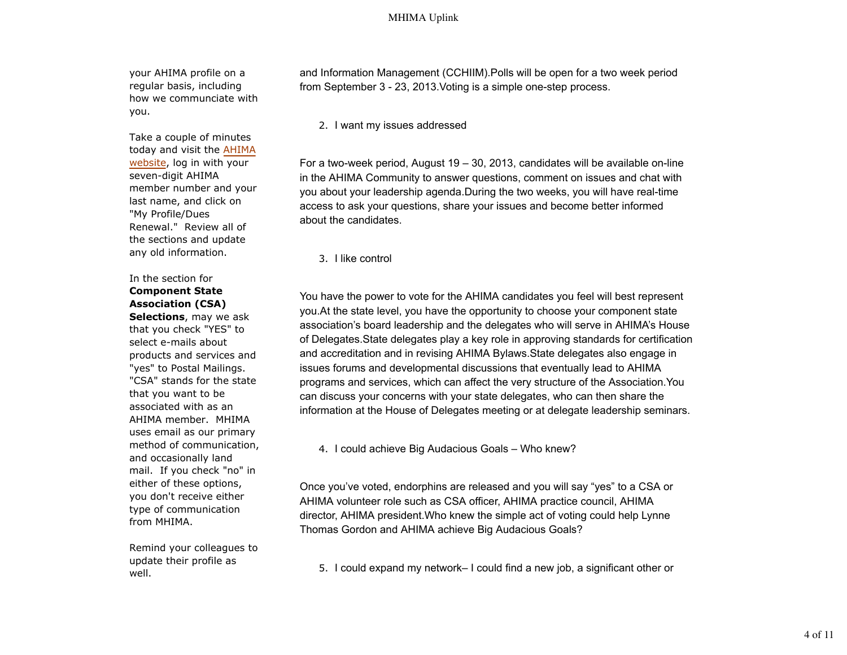your AHIMA profile on a regular basis, including how we communciate with you.

Take a couple of minutes today and visit the AHIMA website, log in with your seven-digit AHIMA member number and your last name, and click on "My Profile/Dues Renewal." Review all of the sections and update any old information.

In the section for **Component State Association (CSA) Selections**, may we ask that you check "YES" to select e-mails about products and services and "yes" to Postal Mailings. "CSA" stands for the state that you want to be associated with as an AHIMA member. MHIMA uses email as our primary method of communication, and occasionally land mail. If you check "no" in either of these options, you don't receive either type of communication from MHIMA.

Remind your colleagues to update their profile as well.

and Information Management (CCHIIM).Polls will be open for a two week period from September 3 - 23, 2013.Voting is a simple one-step process.

## 2. I want my issues addressed

For a two-week period, August 19 – 30, 2013, candidates will be available on-line in the AHIMA Community to answer questions, comment on issues and chat with you about your leadership agenda.During the two weeks, you will have real-time access to ask your questions, share your issues and become better informed about the candidates.

3. I like control

You have the power to vote for the AHIMA candidates you feel will best represent you.At the state level, you have the opportunity to choose your component state association's board leadership and the delegates who will serve in AHIMA's House of Delegates.State delegates play a key role in approving standards for certification and accreditation and in revising AHIMA Bylaws.State delegates also engage in issues forums and developmental discussions that eventually lead to AHIMA programs and services, which can affect the very structure of the Association.You can discuss your concerns with your state delegates, who can then share the information at the House of Delegates meeting or at delegate leadership seminars.

4. I could achieve Big Audacious Goals – Who knew?

Once you've voted, endorphins are released and you will say "yes" to a CSA or AHIMA volunteer role such as CSA officer, AHIMA practice council, AHIMA director, AHIMA president.Who knew the simple act of voting could help Lynne Thomas Gordon and AHIMA achieve Big Audacious Goals?

5. I could expand my network– I could find a new job, a significant other or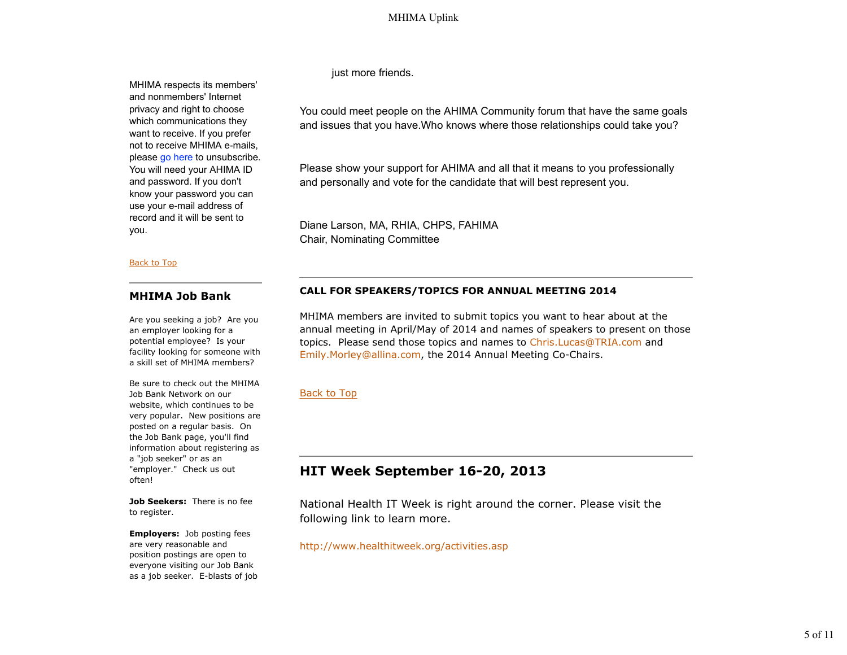MHIMA respects its members' and nonmembers' Internet privacy and right to choose which communications they want to receive. If you prefer not to receive MHIMA e-mails, please go here to unsubscribe. You will need your AHIMA ID and password. If you don't know your password you can use your e-mail address of record and it will be sent to you.

Back to Top

### **MHIMA Job Bank**

Are you seeking a job? Are you an employer looking for a potential employee? Is your facility looking for someone with a skill set of MHIMA members?

Be sure to check out the MHIMA Job Bank Network on our website, which continues to be very popular. New positions are posted on a regular basis. On the Job Bank page, you'll find information about registering as a "job seeker" or as an "employer." Check us out often!

**Job Seekers:** There is no fee to register.

**Employers:** Job posting fees are very reasonable and position postings are open to everyone visiting our Job Bank as a job seeker. E-blasts of job just more friends.

You could meet people on the AHIMA Community forum that have the same goals and issues that you have.Who knows where those relationships could take you?

Please show your support for AHIMA and all that it means to you professionally and personally and vote for the candidate that will best represent you.

Diane Larson, MA, RHIA, CHPS, FAHIMA Chair, Nominating Committee

### **CALL FOR SPEAKERS/TOPICS FOR ANNUAL MEETING 2014**

MHIMA members are invited to submit topics you want to hear about at the annual meeting in April/May of 2014 and names of speakers to present on those topics. Please send those topics and names to Chris.Lucas@TRIA.com and Emily.Morley@allina.com, the 2014 Annual Meeting Co-Chairs.

### Back to Top

# **HIT Week September 16-20, 2013**

National Health IT Week is right around the corner. Please visit the following link to learn more.

#### http://www.healthitweek.org/activities.asp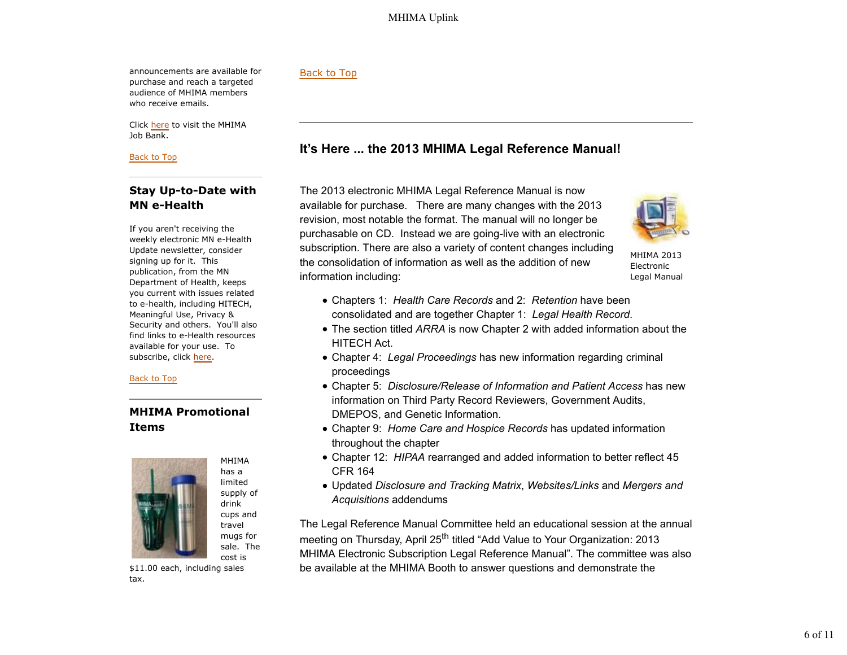announcements are available for purchase and reach a targeted audience of MHIMA members who receive emails.

Click here to visit the MHIMA Job Bank.

Back to Top

## **Stay Up-to-Date with MN e-Health**

If you aren't receiving the weekly electronic MN e-Health Update newsletter, consider signing up for it. This publication, from the MN Department of Health, keeps you current with issues related to e-health, including HITECH, Meaningful Use, Privacy & Security and others. You'll also find links to e-Health resources available for your use. To subscribe, click here.

#### Back to Top

## **MHIMA Promotional Items**



supply of drink cups and travel mugs for sale. The cost is

\$11.00 each, including sales tax.

## Back to Top

# **It's Here ... the 2013 MHIMA Legal Reference Manual!**

The 2013 electronic MHIMA Legal Reference Manual is now available for purchase. There are many changes with the 2013 revision, most notable the format. The manual will no longer be purchasable on CD. Instead we are going-live with an electronic subscription. There are also a variety of content changes including the consolidation of information as well as the addition of new information including:



MHIMA 2013 Electronic Legal Manual

- Chapters 1: *Health Care Records* and 2: *Retention* have been consolidated and are together Chapter 1: *Legal Health Record*.
- The section titled *ARRA* is now Chapter 2 with added information about the HITECH Act.
- Chapter 4: *Legal Proceedings* has new information regarding criminal proceedings
- Chapter 5: *Disclosure/Release of Information and Patient Access* has new information on Third Party Record Reviewers, Government Audits, DMEPOS, and Genetic Information.
- Chapter 9: *Home Care and Hospice Records* has updated information throughout the chapter
- Chapter 12: *HIPAA* rearranged and added information to better reflect 45 CFR 164
- Updated *Disclosure and Tracking Matrix*, *Websites/Links* and *Mergers and Acquisitions* addendums

The Legal Reference Manual Committee held an educational session at the annual meeting on Thursday, April 25<sup>th</sup> titled "Add Value to Your Organization: 2013 MHIMA Electronic Subscription Legal Reference Manual". The committee was also be available at the MHIMA Booth to answer questions and demonstrate the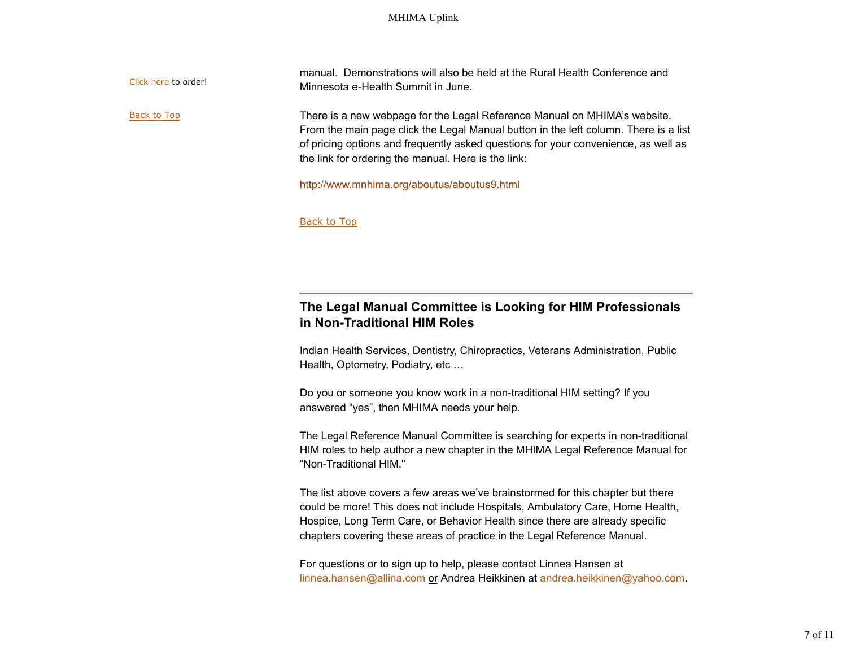| Click here to order! | manual. Demonstrations will also be held at the Rural Health Conference and<br>Minnesota e-Health Summit in June.                                                                                                                                                                                              |
|----------------------|----------------------------------------------------------------------------------------------------------------------------------------------------------------------------------------------------------------------------------------------------------------------------------------------------------------|
| Back to Top          | There is a new webpage for the Legal Reference Manual on MHIMA's website.<br>From the main page click the Legal Manual button in the left column. There is a list<br>of pricing options and frequently asked questions for your convenience, as well as<br>the link for ordering the manual. Here is the link: |
|                      | http://www.mnhima.org/aboutus/aboutus9.html                                                                                                                                                                                                                                                                    |

Back to Top

# **The Legal Manual Committee is Looking for HIM Professionals in Non-Traditional HIM Roles**

Indian Health Services, Dentistry, Chiropractics, Veterans Administration, Public Health, Optometry, Podiatry, etc …

Do you or someone you know work in a non-traditional HIM setting? If you answered "yes", then MHIMA needs your help.

The Legal Reference Manual Committee is searching for experts in non-traditional HIM roles to help author a new chapter in the MHIMA Legal Reference Manual for "Non-Traditional HIM."

The list above covers a few areas we've brainstormed for this chapter but there could be more! This does not include Hospitals, Ambulatory Care, Home Health, Hospice, Long Term Care, or Behavior Health since there are already specific chapters covering these areas of practice in the Legal Reference Manual.

For questions or to sign up to help, please contact Linnea Hansen at linnea.hansen@allina.com or Andrea Heikkinen at andrea.heikkinen@yahoo.com.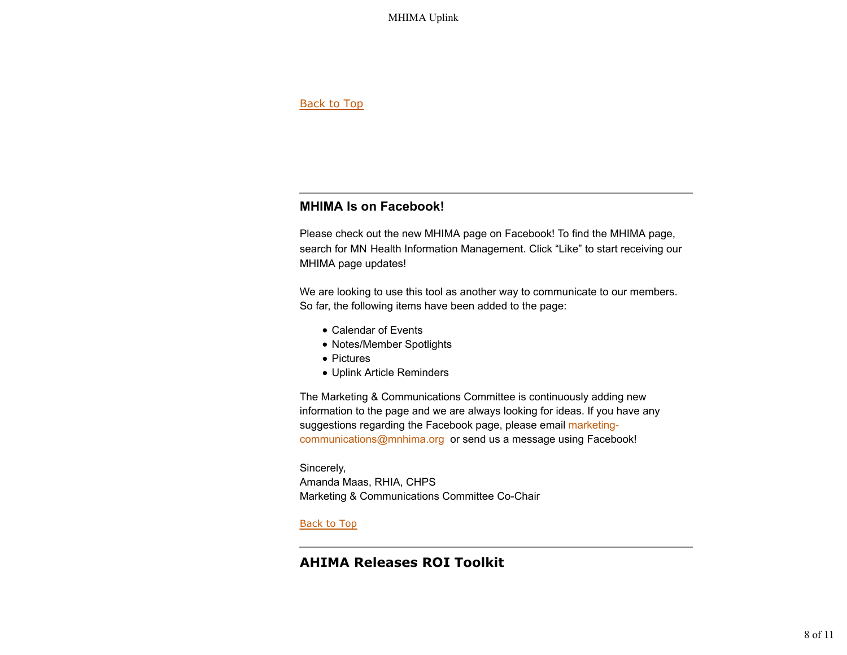## Back to Top

## **MHIMA Is on Facebook!**

Please check out the new MHIMA page on Facebook! To find the MHIMA page, search for MN Health Information Management. Click "Like" to start receiving our MHIMA page updates!

We are looking to use this tool as another way to communicate to our members. So far, the following items have been added to the page:

- Calendar of Events
- Notes/Member Spotlights
- Pictures
- Uplink Article Reminders

The Marketing & Communications Committee is continuously adding new information to the page and we are always looking for ideas. If you have any suggestions regarding the Facebook page, please email marketingcommunications@mnhima.org or send us a message using Facebook!

Sincerely, Amanda Maas, RHIA, CHPS Marketing & Communications Committee Co-Chair

Back to Top

# **AHIMA Releases ROI Toolkit**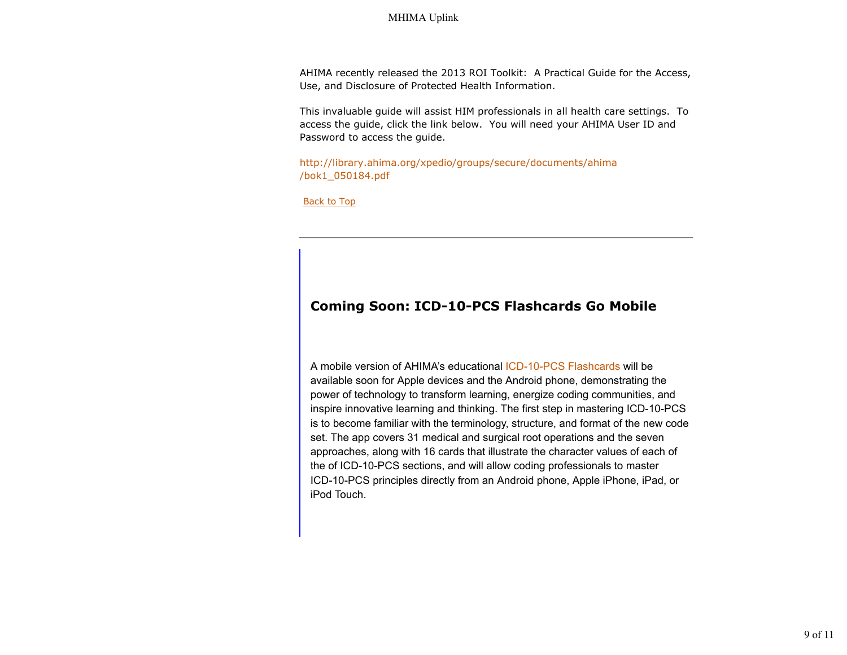AHIMA recently released the 2013 ROI Toolkit: A Practical Guide for the Access, Use, and Disclosure of Protected Health Information.

This invaluable guide will assist HIM professionals in all health care settings. To access the guide, click the link below. You will need your AHIMA User ID and Password to access the guide.

http://library.ahima.org/xpedio/groups/secure/documents/ahima /bok1\_050184.pdf

Back to Top

# **Coming Soon: ICD-10-PCS Flashcards Go Mobile**

A mobile version of AHIMA's educational ICD-10-PCS Flashcards will be available soon for Apple devices and the Android phone, demonstrating the power of technology to transform learning, energize coding communities, and inspire innovative learning and thinking. The first step in mastering ICD-10-PCS is to become familiar with the terminology, structure, and format of the new code set. The app covers 31 medical and surgical root operations and the seven approaches, along with 16 cards that illustrate the character values of each of the of ICD-10-PCS sections, and will allow coding professionals to master ICD-10-PCS principles directly from an Android phone, Apple iPhone, iPad, or iPod Touch.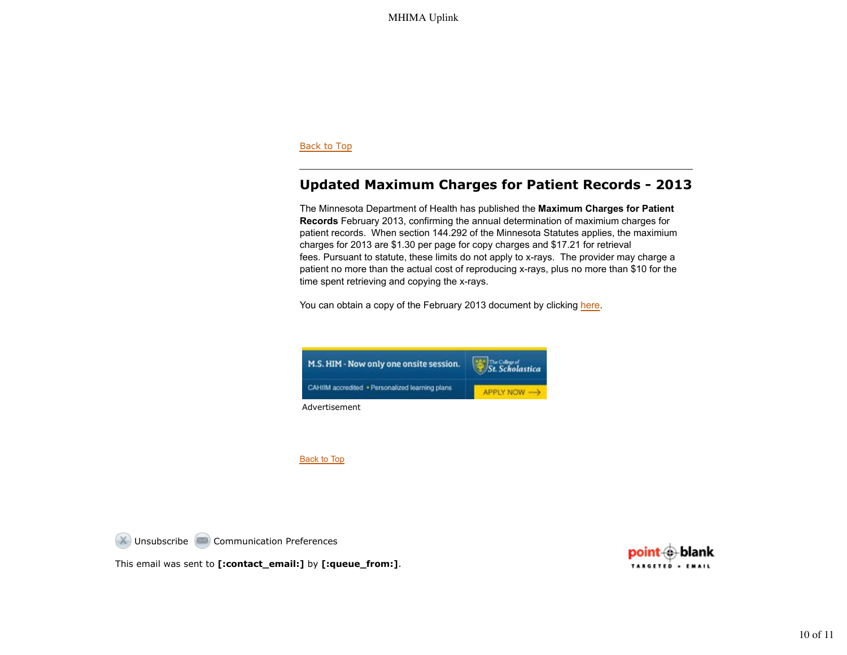#### Back to Top

# **Updated Maximum Charges for Patient Records - 2013**

The Minnesota Department of Health has published the **Maximum Charges for Patient Records** February 2013, confirming the annual determination of maximium charges for patient records. When section 144.292 of the Minnesota Statutes applies, the maximium charges for 2013 are \$1.30 per page for copy charges and \$17.21 for retrieval fees. Pursuant to statute, these limits do not apply to x-rays. The provider may charge a patient no more than the actual cost of reproducing x-rays, plus no more than \$10 for the time spent retrieving and copying the x-rays.

You can obtain a copy of the February 2013 document by clicking here.



Back to Top

 $(X)$  Unsubscribe  $(3)$  Communication Preferences

This email was sent to **[:contact\_email:]** by **[:queue\_from:]**.